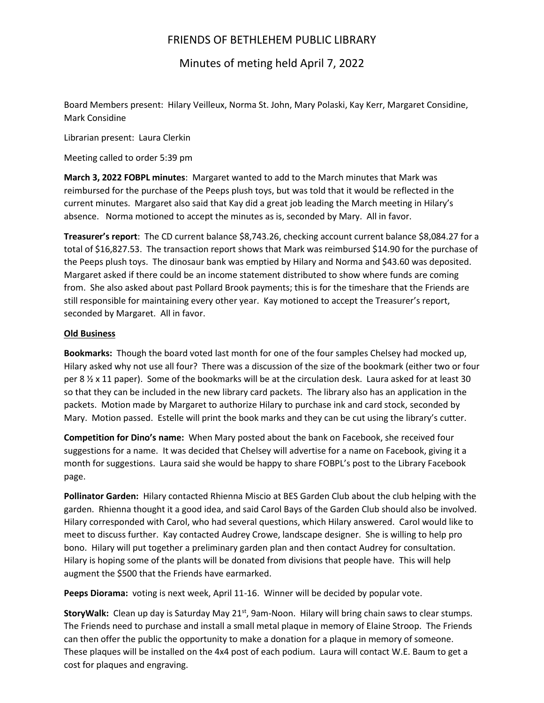## FRIENDS OF BETHLEHEM PUBLIC LIBRARY

Minutes of meting held April 7, 2022

Board Members present: Hilary Veilleux, Norma St. John, Mary Polaski, Kay Kerr, Margaret Considine, Mark Considine

Librarian present: Laura Clerkin

Meeting called to order 5:39 pm

**March 3, 2022 FOBPL minutes**: Margaret wanted to add to the March minutes that Mark was reimbursed for the purchase of the Peeps plush toys, but was told that it would be reflected in the current minutes. Margaret also said that Kay did a great job leading the March meeting in Hilary's absence. Norma motioned to accept the minutes as is, seconded by Mary. All in favor.

**Treasurer's report**: The CD current balance \$8,743.26, checking account current balance \$8,084.27 for a total of \$16,827.53. The transaction report shows that Mark was reimbursed \$14.90 for the purchase of the Peeps plush toys. The dinosaur bank was emptied by Hilary and Norma and \$43.60 was deposited. Margaret asked if there could be an income statement distributed to show where funds are coming from. She also asked about past Pollard Brook payments; this is for the timeshare that the Friends are still responsible for maintaining every other year. Kay motioned to accept the Treasurer's report, seconded by Margaret. All in favor.

## **Old Business**

**Bookmarks:** Though the board voted last month for one of the four samples Chelsey had mocked up, Hilary asked why not use all four? There was a discussion of the size of the bookmark (either two or four per 8  $\frac{1}{2}$  x 11 paper). Some of the bookmarks will be at the circulation desk. Laura asked for at least 30 so that they can be included in the new library card packets. The library also has an application in the packets. Motion made by Margaret to authorize Hilary to purchase ink and card stock, seconded by Mary. Motion passed. Estelle will print the book marks and they can be cut using the library's cutter.

**Competition for Dino's name:** When Mary posted about the bank on Facebook, she received four suggestions for a name. It was decided that Chelsey will advertise for a name on Facebook, giving it a month for suggestions. Laura said she would be happy to share FOBPL's post to the Library Facebook page.

**Pollinator Garden:** Hilary contacted Rhienna Miscio at BES Garden Club about the club helping with the garden. Rhienna thought it a good idea, and said Carol Bays of the Garden Club should also be involved. Hilary corresponded with Carol, who had several questions, which Hilary answered. Carol would like to meet to discuss further. Kay contacted Audrey Crowe, landscape designer. She is willing to help pro bono. Hilary will put together a preliminary garden plan and then contact Audrey for consultation. Hilary is hoping some of the plants will be donated from divisions that people have. This will help augment the \$500 that the Friends have earmarked.

**Peeps Diorama:** voting is next week, April 11-16. Winner will be decided by popular vote.

**StoryWalk:** Clean up day is Saturday May 21st, 9am-Noon. Hilary will bring chain saws to clear stumps. The Friends need to purchase and install a small metal plaque in memory of Elaine Stroop. The Friends can then offer the public the opportunity to make a donation for a plaque in memory of someone. These plaques will be installed on the 4x4 post of each podium. Laura will contact W.E. Baum to get a cost for plaques and engraving.